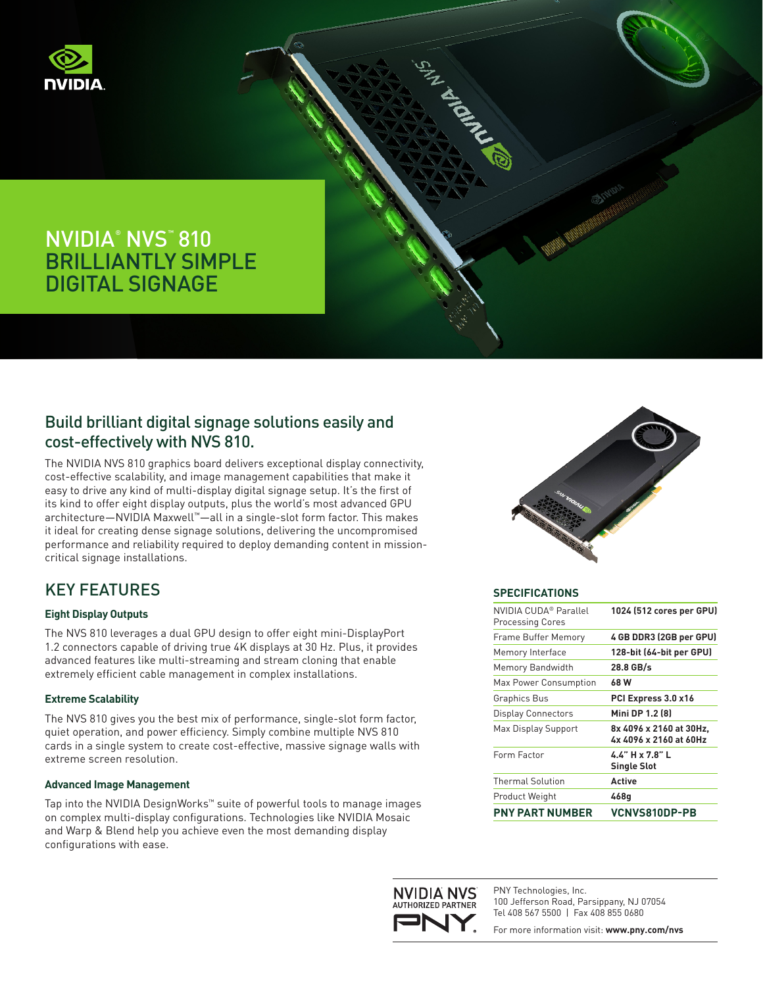



### Build brilliant digital signage solutions easily and cost-effectively with NVS 810.

The NVIDIA NVS 810 graphics board delivers exceptional display connectivity, cost-effective scalability, and image management capabilities that make it easy to drive any kind of multi-display digital signage setup. It's the first of its kind to offer eight display outputs, plus the world's most advanced GPU architecture—NVIDIA Maxwell™—all in a single-slot form factor. This makes it ideal for creating dense signage solutions, delivering the uncompromised performance and reliability required to deploy demanding content in missioncritical signage installations.

# KEY FEATURES

### **Eight Display Outputs**

The NVS 810 leverages a dual GPU design to offer eight mini-DisplayPort 1.2 connectors capable of driving true 4K displays at 30 Hz. Plus, it provides advanced features like multi-streaming and stream cloning that enable extremely efficient cable management in complex installations.

#### **Extreme Scalability**

The NVS 810 gives you the best mix of performance, single-slot form factor, quiet operation, and power efficiency. Simply combine multiple NVS 810 cards in a single system to create cost-effective, massive signage walls with extreme screen resolution.

#### **Advanced Image Management**

Tap into the NVIDIA DesignWorks™ suite of powerful tools to manage images on complex multi-display configurations. Technologies like NVIDIA Mosaic and Warp & Blend help you achieve even the most demanding display configurations with ease.



#### **SPECIFICATIONS**

I ANDRE

| NVIDIA CUDA® Parallel<br><b>Processing Cores</b> | 1024 (512 cores per GPU)                          |
|--------------------------------------------------|---------------------------------------------------|
| Frame Buffer Memory                              | 4 GB DDR3 (2GB per GPU)                           |
| Memory Interface                                 | 128-bit (64-bit per GPU)                          |
| Memory Bandwidth                                 | 28.8 GB/s                                         |
| Max Power Consumption                            | 68 W                                              |
| <b>Graphics Bus</b>                              | PCI Express 3.0 x16                               |
| <b>Display Connectors</b>                        | Mini DP 1.2 (8)                                   |
| Max Display Support                              | 8x 4096 x 2160 at 30Hz,<br>4x 4096 x 2160 at 60Hz |
| Form Factor                                      | $44"$ H x 7.8" L<br><b>Single Slot</b>            |
| <b>Thermal Solution</b>                          | <b>Active</b>                                     |
| Product Weight                                   | 468q                                              |
| <b>PNY PART NUMBER</b>                           | <b>VCNVS810DP-PB</b>                              |



PNY Technologies, Inc. 100 Jefferson Road, Parsippany, NJ 07054 Tel 408 567 5500 | Fax 408 855 0680

For more information visit: **www.pny.com/nvs**